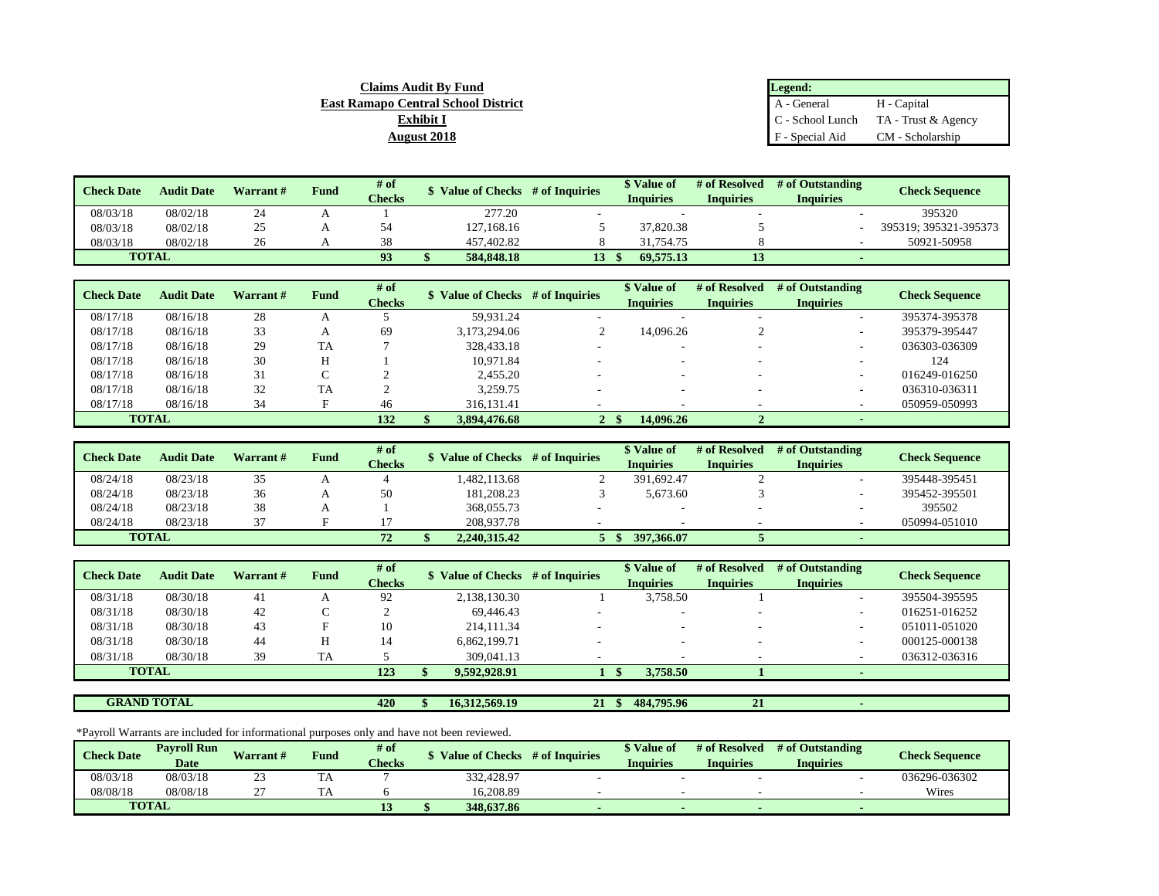| <b>Claims Audit By Fund</b>                | Legend:         |                                                |
|--------------------------------------------|-----------------|------------------------------------------------|
| <b>East Ramapo Central School District</b> | A - General     | H - Capital                                    |
| <b>Exhibit I</b>                           |                 | $\mathbb C$ - School Lunch TA - Trust & Agency |
| <b>August 2018</b>                         | F - Special Aid | CM - Scholarship                               |

| <b>Check Date</b> | <b>Audit Date</b> | Warrant # | Fund | # of          | <b>Value of Checks</b> | # of Inquiries | <b>\$</b> Value of | # of Resolved    | # of Outstanding | <b>Check Sequence</b> |
|-------------------|-------------------|-----------|------|---------------|------------------------|----------------|--------------------|------------------|------------------|-----------------------|
|                   |                   |           |      | <b>Checks</b> |                        |                | Inquiries          | <b>Inquiries</b> | <b>Inquiries</b> |                       |
| 08/03/18          | 08/02/18          | 24        |      |               | 277.20                 |                |                    |                  |                  | 395320                |
| 08/03/18          | 08/02/18          | 25        |      |               | 127.168.16             |                | 37,820.38          |                  |                  | 395319; 395321-395373 |
| 08/03/18          | 08/02/18          | 26        |      | 38            | 457,402.82             |                | 31.754.75          |                  |                  | 50921-50958           |
| <b>TOTAL</b>      |                   |           |      | 93            | 584,848.18             | 13             | 69.575.13          |                  |                  |                       |

| <b>Check Date</b> | <b>Audit Date</b> | Warrant# | <b>Fund</b> | # of<br><b>Checks</b> | Value of Checks # of Inquiries |              | <b>\$</b> Value of<br><b>Inquiries</b> | # of Resolved<br><b>Inquiries</b> | # of Outstanding<br><b>Inquiries</b> | <b>Check Sequence</b> |
|-------------------|-------------------|----------|-------------|-----------------------|--------------------------------|--------------|----------------------------------------|-----------------------------------|--------------------------------------|-----------------------|
| 08/17/18          | 08/16/18          | 28       |             |                       | 59.931.24                      |              |                                        |                                   | $\sim$                               | 395374-395378         |
| 08/17/18          | 08/16/18          | 33       |             | 69                    | 3,173,294.06                   |              | 14.096.26                              |                                   |                                      | 395379-395447         |
| 08/17/18          | 08/16/18          | 29       | <b>TA</b>   |                       | 328,433.18                     |              |                                        |                                   |                                      | 036303-036309         |
| 08/17/18          | 08/16/18          | 30       |             |                       | 10.971.84                      |              |                                        |                                   |                                      | 124                   |
| 08/17/18          | 08/16/18          | 31       | $\sim$      |                       | 2,455.20                       |              |                                        |                                   |                                      | 016249-016250         |
| 08/17/18          | 08/16/18          | 32       | TA          |                       | 3,259.75                       |              |                                        |                                   |                                      | 036310-036311         |
| 08/17/18          | 08/16/18          | 34       |             | 46                    | 316, 131. 41                   |              |                                        |                                   |                                      | 050959-050993         |
|                   | <b>TOTAL</b>      |          |             | 132                   | 3.894,476.68                   | $\mathbf{2}$ | 14,096.26                              |                                   |                                      |                       |

| <b>Check Date</b> | <b>Audit Date</b> | Warrant # | Fund | # of          | <b>Value of Checks</b> | # of Inquiries | \$ Value of      | # of Resolved    | # of Outstanding | <b>Check Sequence</b> |
|-------------------|-------------------|-----------|------|---------------|------------------------|----------------|------------------|------------------|------------------|-----------------------|
|                   |                   |           |      | <b>Checks</b> |                        |                | <b>Inquiries</b> | <b>Inquiries</b> | <b>Inquiries</b> |                       |
| 08/24/18          | 08/23/18          | つく<br>ັບ  |      |               | 1.482.113.68           |                | 391.692.47       |                  |                  | 395448-395451         |
| 08/24/18          | 08/23/18          | 36        |      | 50            | 181,208.23             |                | 5.673.60         |                  |                  | 395452-395501         |
| 08/24/18          | 08/23/18          | 38        |      |               | 368,055.73             |                | -                |                  |                  | 395502                |
| 08/24/18          | 08/23/18          | $\sim$    |      |               | 208,937.78             |                |                  |                  |                  | 050994-051010         |
| <b>TOTAL</b>      |                   |           |      | $72^{\circ}$  | 2.240.315.42           |                | 397, 366, 07     |                  |                  |                       |

| <b>Check Date</b> | <b>Audit Date</b> | Warrant # | <b>Fund</b> | # of          | Value of Checks # of Inquiries | \$ Value of      | # of Resolved    | # of Outstanding | <b>Check Sequence</b> |
|-------------------|-------------------|-----------|-------------|---------------|--------------------------------|------------------|------------------|------------------|-----------------------|
|                   |                   |           |             | <b>Checks</b> |                                | <b>Inquiries</b> | <b>Inquiries</b> | <b>Inquiries</b> |                       |
| 08/31/18          | 08/30/18          | 41        |             | 92            | 2,138,130.30                   | 3,758.50         |                  |                  | 395504-395595         |
| 08/31/18          | 08/30/18          | 42        |             |               | 69.446.43                      | -                |                  |                  | 016251-016252         |
| 08/31/18          | 08/30/18          | 43        |             | 10            | 214,111.34                     |                  |                  |                  | 051011-051020         |
| 08/31/18          | 08/30/18          | 44        |             | 14            | 6,862,199.71                   |                  |                  |                  | 000125-000138         |
| 08/31/18          | 08/30/18          | 39        | <b>TA</b>   |               | 309,041.13                     |                  |                  |                  | 036312-036316         |
| <b>TOTAL</b>      |                   |           |             | 123           | 9.592.928.91                   | 3.758.50         |                  |                  |                       |
|                   |                   |           |             |               |                                |                  |                  |                  |                       |

**GRAND TOTAL**

**420 \$ 16,312,569.19 21 \$ 484,795.96 21 -** 

\*Payroll Warrants are included for informational purposes only and have not been reviewed.

| <b>Check Date</b> | <b>Payroll Run</b> | Warrant#    | Fund | # of          | <b>Value of Checks</b> | $#$ of Inquiries | <i><b>*</b></i> Value of | # of Resolved    | # of Outstanding | <b>Check Sequence</b> |
|-------------------|--------------------|-------------|------|---------------|------------------------|------------------|--------------------------|------------------|------------------|-----------------------|
|                   | <b>Date</b>        |             |      | <b>Checks</b> |                        |                  | Inquiries                | <b>Inquiries</b> | <b>Inquiries</b> |                       |
| 08/03/18          | 08/03/18           | $\sim$<br>ت | I A  |               | 332,428.97             |                  |                          |                  |                  | 036296-036302         |
| 08/08/18          | 08/08/18           | $\sim$      |      |               | 16,208.89              |                  |                          |                  |                  | Wires                 |
|                   | <b>TOTAL</b>       |             |      |               | 348,637.86             |                  |                          |                  |                  |                       |